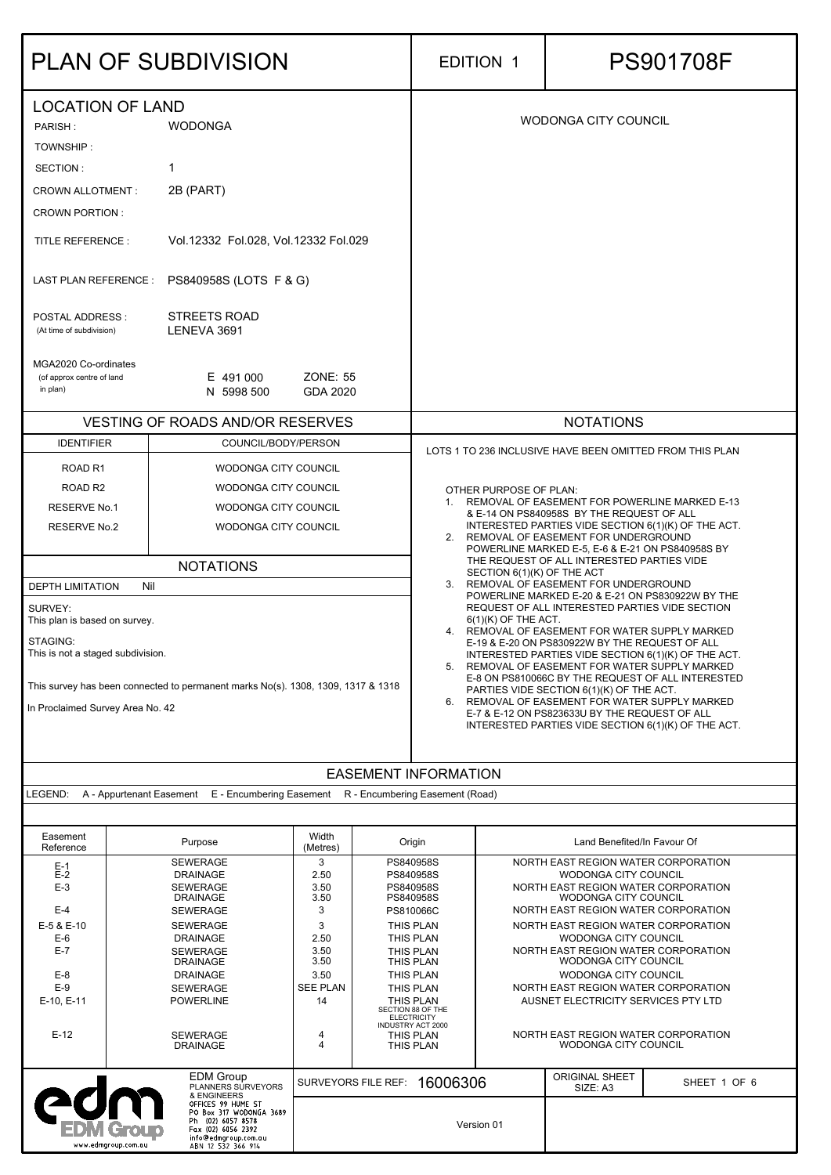| <b>PLAN OF SUBDIVISION</b>                                                                                                                                                                                        |                                                                                                                                                                           |                                               |  |                                                                                                                                                                                                                                                                                                                                                                                                                                                                                                                                                       | <b>EDITION 1</b>           |                                                                                                                                                                                                                                                                                                                                                                                                                                   | <b>PS901708F</b> |  |
|-------------------------------------------------------------------------------------------------------------------------------------------------------------------------------------------------------------------|---------------------------------------------------------------------------------------------------------------------------------------------------------------------------|-----------------------------------------------|--|-------------------------------------------------------------------------------------------------------------------------------------------------------------------------------------------------------------------------------------------------------------------------------------------------------------------------------------------------------------------------------------------------------------------------------------------------------------------------------------------------------------------------------------------------------|----------------------------|-----------------------------------------------------------------------------------------------------------------------------------------------------------------------------------------------------------------------------------------------------------------------------------------------------------------------------------------------------------------------------------------------------------------------------------|------------------|--|
| <b>LOCATION OF LAND</b><br><b>WODONGA</b><br>PARISH:<br>TOWNSHIP:<br>SECTION:                                                                                                                                     |                                                                                                                                                                           |                                               |  |                                                                                                                                                                                                                                                                                                                                                                                                                                                                                                                                                       |                            | <b>WODONGA CITY COUNCIL</b>                                                                                                                                                                                                                                                                                                                                                                                                       |                  |  |
| <b>CROWN ALLOTMENT:</b><br><b>CROWN PORTION:</b>                                                                                                                                                                  | 2B (PART)                                                                                                                                                                 |                                               |  |                                                                                                                                                                                                                                                                                                                                                                                                                                                                                                                                                       |                            |                                                                                                                                                                                                                                                                                                                                                                                                                                   |                  |  |
| <b>TITLE REFERENCE:</b>                                                                                                                                                                                           | Vol.12332 Fol.028, Vol.12332 Fol.029                                                                                                                                      |                                               |  |                                                                                                                                                                                                                                                                                                                                                                                                                                                                                                                                                       |                            |                                                                                                                                                                                                                                                                                                                                                                                                                                   |                  |  |
| LAST PLAN REFERENCE :                                                                                                                                                                                             | PS840958S (LOTS F & G)                                                                                                                                                    |                                               |  |                                                                                                                                                                                                                                                                                                                                                                                                                                                                                                                                                       |                            |                                                                                                                                                                                                                                                                                                                                                                                                                                   |                  |  |
| <b>POSTAL ADDRESS:</b><br>(At time of subdivision)                                                                                                                                                                | <b>STREETS ROAD</b><br>LENEVA 3691                                                                                                                                        |                                               |  |                                                                                                                                                                                                                                                                                                                                                                                                                                                                                                                                                       |                            |                                                                                                                                                                                                                                                                                                                                                                                                                                   |                  |  |
| MGA2020 Co-ordinates<br>(of approx centre of land<br>in plan)                                                                                                                                                     | E 491 000<br>N 5998 500                                                                                                                                                   | <b>ZONE: 55</b><br><b>GDA 2020</b>            |  |                                                                                                                                                                                                                                                                                                                                                                                                                                                                                                                                                       |                            |                                                                                                                                                                                                                                                                                                                                                                                                                                   |                  |  |
|                                                                                                                                                                                                                   | <b>VESTING OF ROADS AND/OR RESERVES</b>                                                                                                                                   |                                               |  |                                                                                                                                                                                                                                                                                                                                                                                                                                                                                                                                                       |                            | <b>NOTATIONS</b>                                                                                                                                                                                                                                                                                                                                                                                                                  |                  |  |
| <b>IDENTIFIER</b><br>ROAD <sub>R1</sub><br>ROAD <sub>R2</sub><br><b>RESERVE No.1</b><br><b>RESERVE No.2</b>                                                                                                       | COUNCIL/BODY/PERSON<br>WODONGA CITY COUNCIL<br>WODONGA CITY COUNCIL<br><b>WODONGA CITY COUNCIL</b><br><b>WODONGA CITY COUNCIL</b>                                         |                                               |  | LOTS 1 TO 236 INCLUSIVE HAVE BEEN OMITTED FROM THIS PLAN<br><b>OTHER PURPOSE OF PLAN:</b><br>1. REMOVAL OF EASEMENT FOR POWERLINE MARKED E-13<br>& E-14 ON PS840958S BY THE REQUEST OF ALL<br>INTERESTED PARTIES VIDE SECTION 6(1)(K) OF THE ACT.<br>2. REMOVAL OF EASEMENT FOR UNDERGROUND<br>POWERLINE MARKED E-5, E-6 & E-21 ON PS840958S BY                                                                                                                                                                                                       |                            |                                                                                                                                                                                                                                                                                                                                                                                                                                   |                  |  |
|                                                                                                                                                                                                                   | <b>NOTATIONS</b>                                                                                                                                                          |                                               |  |                                                                                                                                                                                                                                                                                                                                                                                                                                                                                                                                                       |                            | THE REQUEST OF ALL INTERESTED PARTIES VIDE                                                                                                                                                                                                                                                                                                                                                                                        |                  |  |
| Nil<br><b>DEPTH LIMITATION</b>                                                                                                                                                                                    |                                                                                                                                                                           |                                               |  | 3.                                                                                                                                                                                                                                                                                                                                                                                                                                                                                                                                                    | SECTION 6(1)(K) OF THE ACT | REMOVAL OF EASEMENT FOR UNDERGROUND<br>POWERLINE MARKED E-20 & E-21 ON PS830922W BY THE                                                                                                                                                                                                                                                                                                                                           |                  |  |
| SURVEY:<br>This plan is based on survey.<br>STAGING:<br>This is not a staged subdivision.<br>This survey has been connected to permanent marks No(s). 1308, 1309, 1317 & 1318<br>In Proclaimed Survey Area No. 42 |                                                                                                                                                                           |                                               |  | REQUEST OF ALL INTERESTED PARTIES VIDE SECTION<br>$6(1)(K)$ OF THE ACT.<br>4. REMOVAL OF EASEMENT FOR WATER SUPPLY MARKED<br>E-19 & E-20 ON PS830922W BY THE REQUEST OF ALL<br>INTERESTED PARTIES VIDE SECTION 6(1)(K) OF THE ACT.<br>REMOVAL OF EASEMENT FOR WATER SUPPLY MARKED<br>5.<br>E-8 ON PS810066C BY THE REQUEST OF ALL INTERESTED<br>PARTIES VIDE SECTION 6(1)(K) OF THE ACT.<br>REMOVAL OF EASEMENT FOR WATER SUPPLY MARKED<br>6.<br>E-7 & E-12 ON PS823633U BY THE REQUEST OF ALL<br>INTERESTED PARTIES VIDE SECTION 6(1)(K) OF THE ACT. |                            |                                                                                                                                                                                                                                                                                                                                                                                                                                   |                  |  |
|                                                                                                                                                                                                                   |                                                                                                                                                                           |                                               |  | <b>EASEMENT INFORMATION</b>                                                                                                                                                                                                                                                                                                                                                                                                                                                                                                                           |                            |                                                                                                                                                                                                                                                                                                                                                                                                                                   |                  |  |
| LEGEND:                                                                                                                                                                                                           | A - Appurtenant Easement E - Encumbering Easement R - Encumbering Easement (Road)                                                                                         |                                               |  |                                                                                                                                                                                                                                                                                                                                                                                                                                                                                                                                                       |                            |                                                                                                                                                                                                                                                                                                                                                                                                                                   |                  |  |
| Easement<br>Reference                                                                                                                                                                                             | Purpose                                                                                                                                                                   | Width<br>(Metres)                             |  | Origin                                                                                                                                                                                                                                                                                                                                                                                                                                                                                                                                                |                            | Land Benefited/In Favour Of                                                                                                                                                                                                                                                                                                                                                                                                       |                  |  |
| $E-1$<br>$E-2$<br>$E-3$<br>$E-4$<br>E-5 & E-10<br>$E-6$                                                                                                                                                           | <b>SEWERAGE</b><br><b>DRAINAGE</b><br><b>SEWERAGE</b><br><b>DRAINAGE</b><br><b>SEWERAGE</b><br><b>SEWERAGE</b><br><b>DRAINAGE</b>                                         | 3<br>2.50<br>3.50<br>3.50<br>3<br>3<br>2.50   |  | PS840958S<br>PS840958S<br>PS840958S<br>PS840958S<br>PS810066C<br>THIS PLAN<br>THIS PLAN<br>THIS PLAN<br>THIS PLAN<br>THIS PLAN<br>THIS PLAN<br>THIS PLAN<br>SECTION 88 OF THE<br><b>ELECTRICITY</b><br>INDUSTRY ACT 2000<br>THIS PLAN<br>THIS PLAN                                                                                                                                                                                                                                                                                                    |                            | NORTH EAST REGION WATER CORPORATION<br>WODONGA CITY COUNCIL<br>NORTH EAST REGION WATER CORPORATION<br><b>WODONGA CITY COUNCIL</b><br>NORTH EAST REGION WATER CORPORATION<br>NORTH EAST REGION WATER CORPORATION<br><b>WODONGA CITY COUNCIL</b><br>NORTH EAST REGION WATER CORPORATION<br><b>WODONGA CITY COUNCIL</b><br><b>WODONGA CITY COUNCIL</b><br>NORTH EAST REGION WATER CORPORATION<br>AUSNET ELECTRICITY SERVICES PTY LTD |                  |  |
| $E-7$<br>$E-8$<br>$E-9$<br>E-10, E-11                                                                                                                                                                             | <b>SEWERAGE</b><br><b>DRAINAGE</b><br><b>DRAINAGE</b><br><b>SEWERAGE</b><br><b>POWERLINE</b>                                                                              | 3.50<br>3.50<br>3.50<br><b>SEE PLAN</b><br>14 |  |                                                                                                                                                                                                                                                                                                                                                                                                                                                                                                                                                       |                            |                                                                                                                                                                                                                                                                                                                                                                                                                                   |                  |  |
| $E-12$                                                                                                                                                                                                            | <b>SEWERAGE</b><br><b>DRAINAGE</b>                                                                                                                                        | 4<br>4                                        |  |                                                                                                                                                                                                                                                                                                                                                                                                                                                                                                                                                       |                            | NORTH EAST REGION WATER CORPORATION<br><b>WODONGA CITY COUNCIL</b>                                                                                                                                                                                                                                                                                                                                                                |                  |  |
| Group                                                                                                                                                                                                             | <b>EDM Group</b><br>PLANNERS SURVEYORS<br>& ENGINEERS<br>OFFICES 99 HUME ST<br>PO Box 317 WODONGA 3689<br>Ph (02) 6057 8578<br>Fax (02) 6056 2392<br>info@edmgroup.com.au | <b>SURVEYORS FILE REF:</b>                    |  | 16006306                                                                                                                                                                                                                                                                                                                                                                                                                                                                                                                                              | Version 01                 | <b>ORIGINAL SHEET</b><br>SIZE: A3                                                                                                                                                                                                                                                                                                                                                                                                 | SHEET 1 OF 6     |  |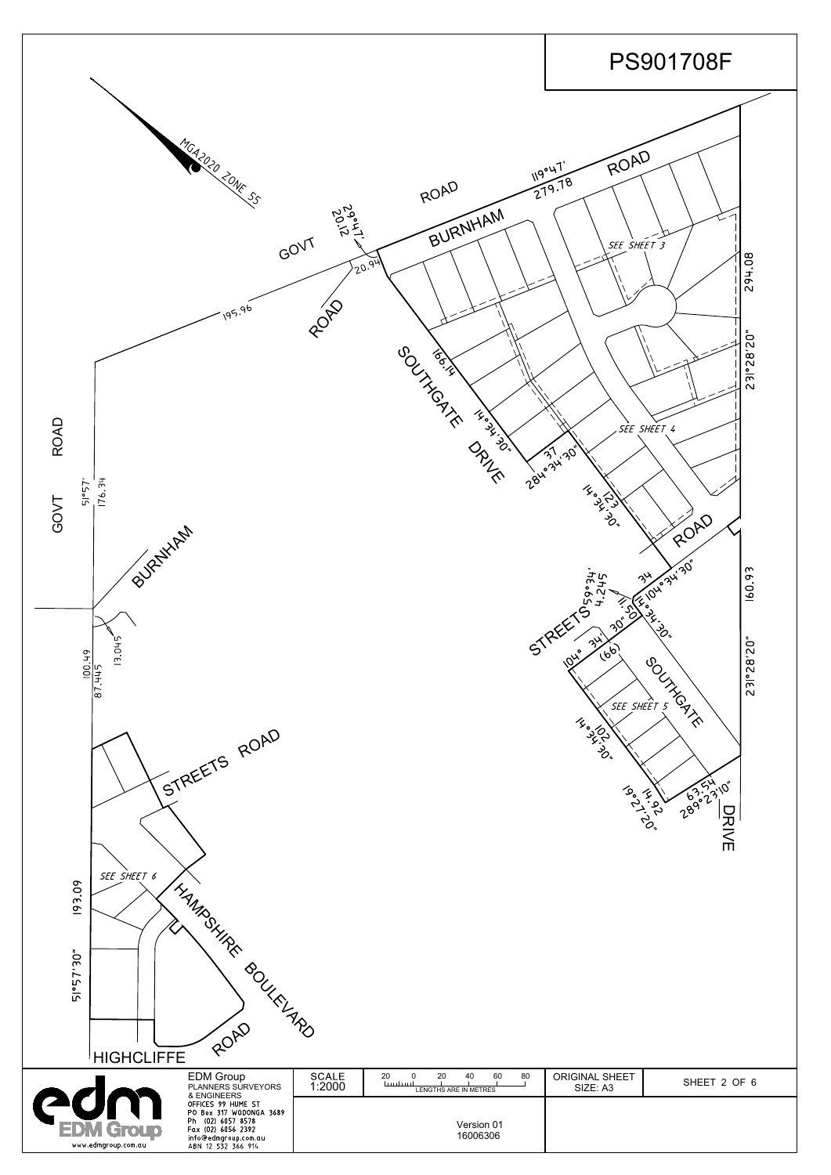

| 193.09<br>51°57'30"<br>HIGHCLIFFE       | I HAMPSHIRE<br><b>BOULEVARD</b><br>ROAD                                                                                                |                        |                                                                                   |                                   |              |
|-----------------------------------------|----------------------------------------------------------------------------------------------------------------------------------------|------------------------|-----------------------------------------------------------------------------------|-----------------------------------|--------------|
|                                         | <b>EDM Group</b><br>PLANNERS SURVEYORS<br>& ENGINEERS                                                                                  | <b>SCALE</b><br>1:2000 | 20<br>20<br>80<br>60<br>40<br>$\Omega$<br><u>tuntunt</u><br>LENGTHS ARE IN METRES | <b>ORIGINAL SHEET</b><br>SIZE: A3 | SHEET 2 OF 6 |
| <b>PON Group</b><br>www.edmgroup.com.au | OFFICES 99 HUME ST<br>PO Box 317 WODONGA 3689<br>Ph (02) 6057 8578<br>Fax (02) 6056 2392<br>info@edmgroup.com.au<br>ABN 12 532 366 914 |                        | Version 01<br>16006306                                                            |                                   |              |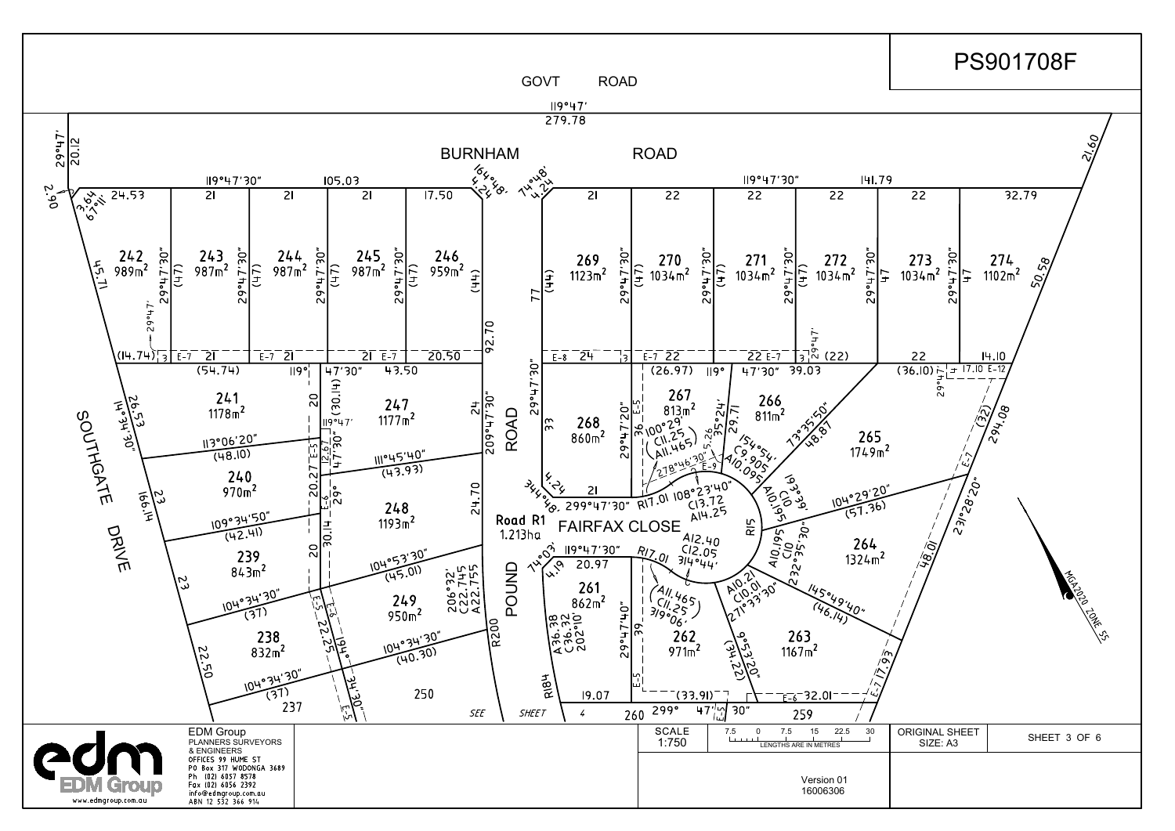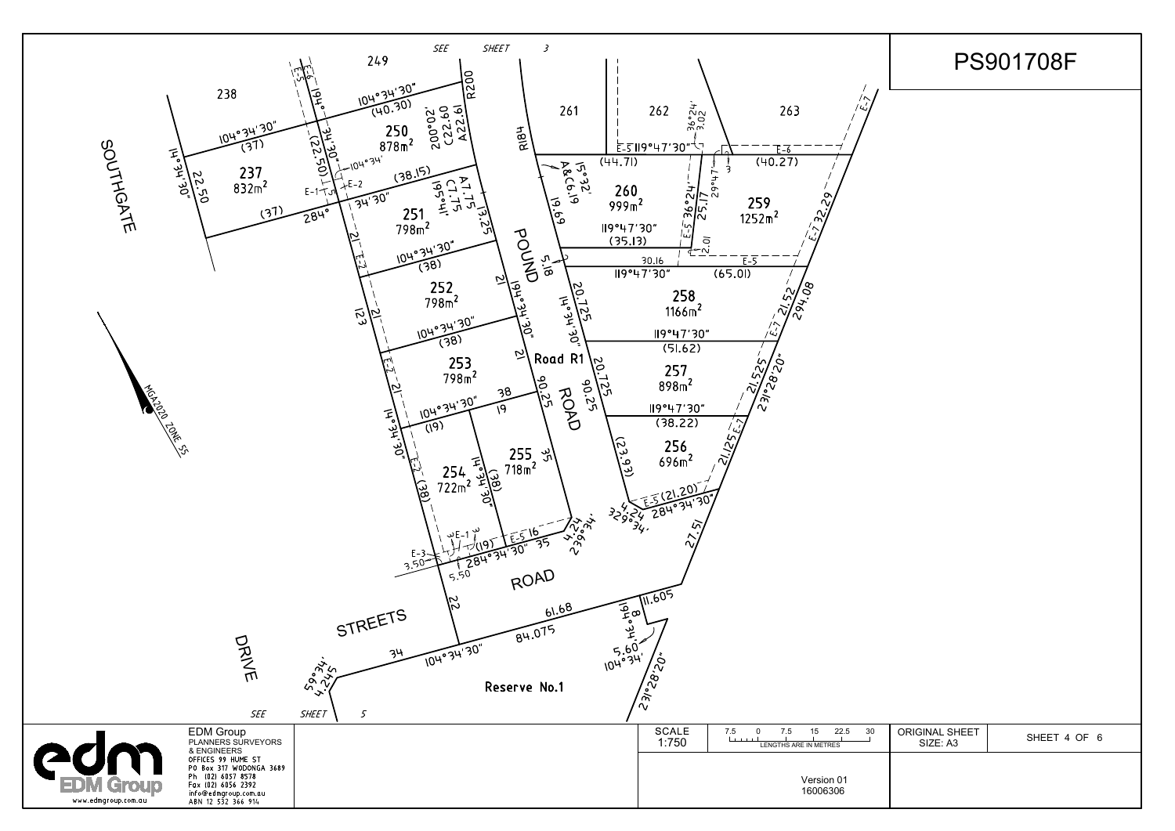## PS901708F



| 30<br>$\sim$ | <b>ORIGINAL SHEET</b><br>SIZE: A3 | SHEET 4 OF 6 |
|--------------|-----------------------------------|--------------|
|              |                                   |              |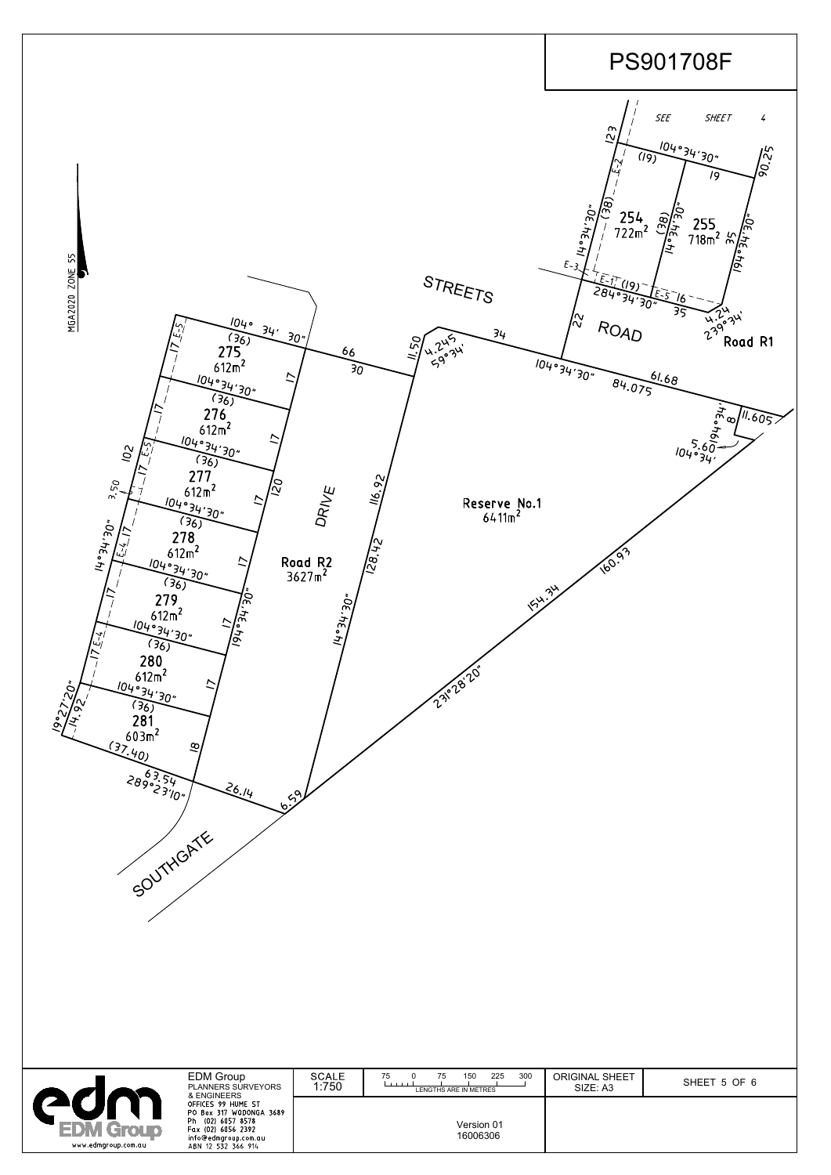

|                            | <b>EDM Group</b><br><b>PLANNERS SURVEYORS</b><br>& ENGINEERS                                                                        | <b>SCALE</b><br>1:750 | 300<br>225<br>150<br>75<br>75<br>$-1$ $-1$ $-1$<br>LENGTHS ARE IN METRES | <b>ORIGINAL SHEET</b><br>SIZE: A3 | SHEET 5 OF 6 |
|----------------------------|-------------------------------------------------------------------------------------------------------------------------------------|-----------------------|--------------------------------------------------------------------------|-----------------------------------|--------------|
| Ph.<br>www.edmgroup.com.au | OFFICES 99 HUME ST<br>PO Box 317 WODONGA 3689<br>(02) 6057 8578<br>Fax (02) 6056 2392<br>info@edmgroup.com.au<br>ABN 12 532 366 914 |                       | Version 01<br>16006306                                                   |                                   |              |